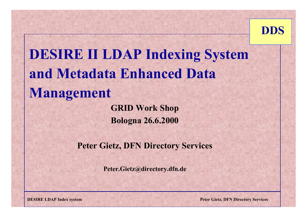

# **DESIRE II LDAP Indexing System and Metadata Enhanced Data Management**

**GRID Work Shop Bologna 26.6.2000**

**Peter Gietz, DFN Directory Services**

**Peter.Gietz@directory.dfn.de**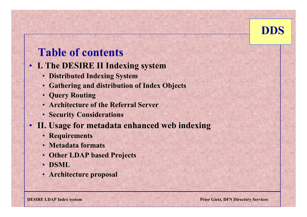# **Table of contents**

- **I. The DESIRE II Indexing system**
	- **Distributed Indexing System**
	- **Gathering and distribution of Index Objects**
	- **Query Routing**
	- **Architecture of the Referral Server**
	- **Security Considerations**
- **II. Usage for metadata enhanced web indexing**
	- **Requirements**
	- **Metadata formats**
	- **Other LDAP based Projects**
	- **DSML**
	- **Architecture proposal**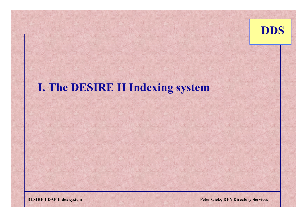

#### **I. The DESIRE II Indexing system**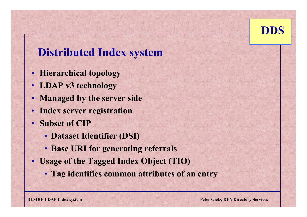

#### **Distributed Index system**

- **Hierarchical topology**
- **LDAP v3 technology**
- **Managed by the server side**
- **Index server registration**
- • **Subset of CIP** 
	- **Dataset Identifier (DSI)**
	- **Base URI for generating referrals**
- **Usage of the Tagged Index Object (TIO)**
	- **Tag identifies common attributes of an entry**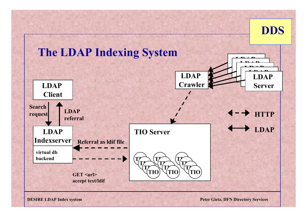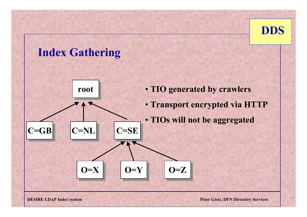#### **Index Gathering**

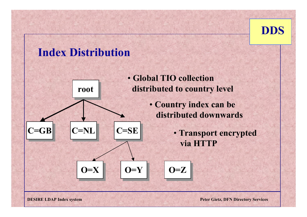

#### **Index Distribution**



- **Global TIO collection**  distributed to country level
	- **Country index can be distributed downwards**
		- **Transport encrypted via HTTP**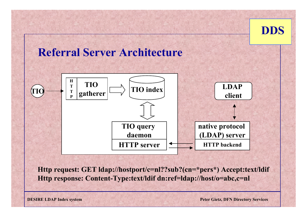

#### **Referral Server Architecture**



**Http request: GET ldap://hostport/c=nl??sub?(cn=\*pers\*) Accept:text/ldif Http response: Content-Type:text/ldif dn:ref=ldap://host/o=abc,c=nl**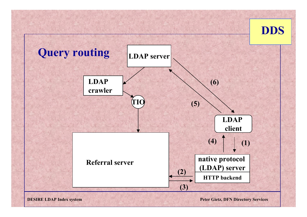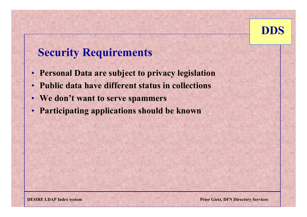

## **Security Requirements**

- **Personal Data are subject to privacy legislation**
- •**Public data have different status in collections**
- **We don't want to serve spammers**
- **Participating applications should be known**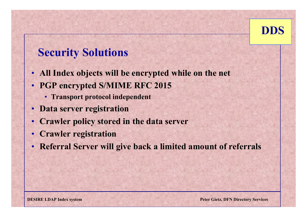

# **Security Solutions**

- •**All Index objects will be encrypted while on the net**
- **PGP encrypted S/MIME RFC 2015**
	- **Transport protocol independent**
- **Data server registration**
- **Crawler policy stored in the data server**
- •**Crawler registration**
- •**Referral Server will give back a limited amount of referrals**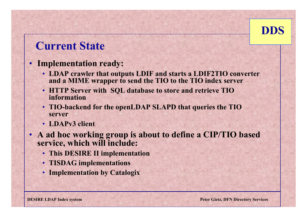

#### **Current State**

#### • **Implementation ready:**

- **LDAP crawler that outputs LDIF and starts a LDIF2TIO converter and a MIME wrapper to send the TIO to the TIO index server**
- **HTTP Server with SQL database to store and retrieve TIO information**
- **TIO-backend for the openLDAP SLAPD that queries the TIO server**
- **LDAPv3 client**
- **A ad hoc working group is about to define a CIP/TIO based service, which will include:**
	- **This DESIRE II implementation**
	- **TISDAG implementations**
	- **Implementation by Catalogix**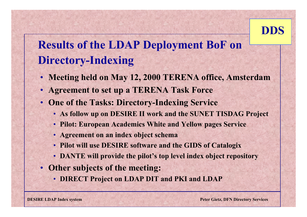# **Results of the LDAP Deployment BoF on Directory-Indexing**

- **Meeting held on May 12, 2000 TERENA office, Amsterdam**
- **Agreement to set up a TERENA Task Force**
- **One of the Tasks: Directory-Indexing Service** 
	- **As follow up on DESIRE II work and the SUNET TISDAG Project**
	- **Pilot: European Academics White and Yellow pages Service**
	- **Agreement on an index object schema**
	- **Pilot will use DESIRE software and the GIDS of Catalogix**
	- **DANTE will provide the pilot's top level index object repository**
- **Other subjects of the meeting:** 
	- **DIRECT Project on LDAP DIT and PKI and LDAP**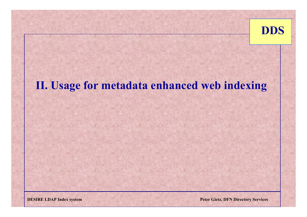

# **II. Usage for metadata enhanced web indexing**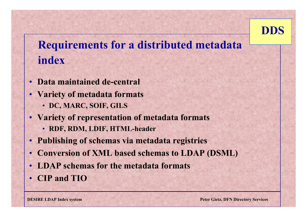# **Requirements for a distributed metadata index**

- **Data maintained de-central**
- **Variety of metadata formats** • **DC, MARC, SOIF, GILS**
- **Variety of representation of metadata formats**
	- **RDF, RDM, LDIF, HTML-header**
- **Publishing of schemas via metadata registries**
- **Conversion of XML based schemas to LDAP (DSML)**
- **LDAP schemas for the metadata formats**
- **CIP and TIO**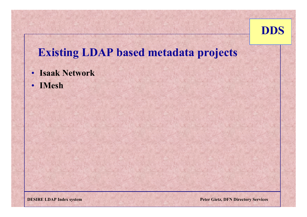

#### **Existing LDAP based metadata projects**

- **Isaak Network**
- **IMesh**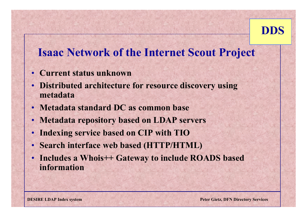

#### **Isaac Network of the Internet Scout Project**

- **Current status unknown**
- **Distributed architecture for resource discovery using metadata**
- **Metadata standard DC as common base**
- **Metadata repository based on LDAP servers**
- •**Indexing service based on CIP with TIO**
- •**Search interface web based (HTTP/HTML)**
- **Includes a Whois++ Gateway to include ROADS based information**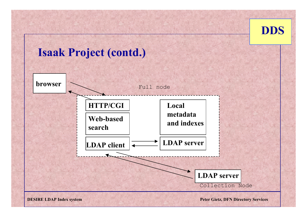

# **Isaak Project (contd.)**

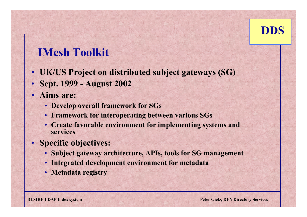# **IMesh Toolkit**

- **UK/US Project on distributed subject gateways (SG)**
- •**Sept. 1999 - August 2002**
- **Aims are:**
	- **Develop overall framework for SGs**
	- **Framework for interoperating between various SGs**
	- **Create favorable environment for implementing systems and services**
- **Specific objectives:**
	- **Subject gateway architecture, APIs, tools for SG management**
	- **Integrated development environment for metadata**
	- **Metadata registry**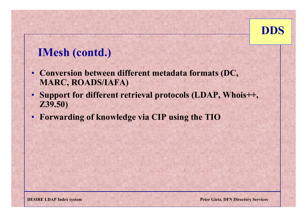

# **IMesh (contd.)**

- **Conversion between different metadata formats (DC, MARC, ROADS/IAFA)**
- **Support for different retrieval protocols (LDAP, Whois++, Z39.50)**
- **Forwarding of knowledge via CIP using the TIO**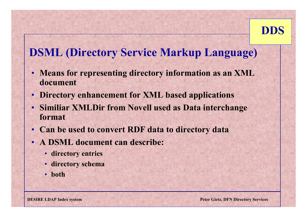# **DSML (Directory Service Markup Language)**

- **Means for representing directory information as an XML document**
- •**Directory enhancement for XML based applications**
- **Similiar XMLDir from Novell used as Data interchange format**
- **Can be used to convert RDF data to directory data**
- **A DSML document can describe:**
	- **directory entries**
	- **directory schema**
	- **both**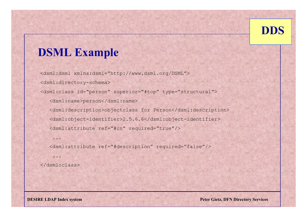# **DSML Example**

<dsml:dsml xmlns:dsml="http://www.dsml.org/DSML"> <dsml:directory-schema> <dsml:class id="person" superior="#top" type="structural"> <dsml:name>person</dsml:name> <dsml:description>objectclass for Person</dsml:description> <dsml:object-identifier>2.5.6.6</dsml:object-identifier> <dsml:attribute ref="#cn" required="true"/>

<dsml:attribute ref="#description" required="false"/>

</dsml:class>

...

...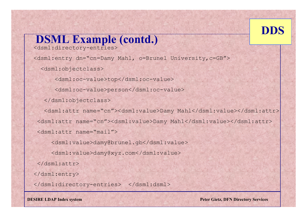

#### **DSML Example (contd.)** <dsml:directory-entries> <dsml:entry dn="cn=Damy Mahl, o=Brunel University,c=GB"> <dsml:objectclass> <dsml:oc-value>top</dsml:oc-value> <dsml:oc-value>person</dsml:oc-value> </dsml:objectclass> <dsml:attr name="cn"><dsml:value>Damy Mahl</dsml:value></dsml:attr> <dsml:attr name="cn"><dsml:value>Damy Mahl</dsml:value></dsml:attr> <dsml:attr name="mail"> <dsml:value>damy@brunel.gb</dsml:value> <dsml:value>damy@xyz.com</dsml:value> </dsml:attr> </dsml:entry> </dsml:directory-entries> </dsml:dsml>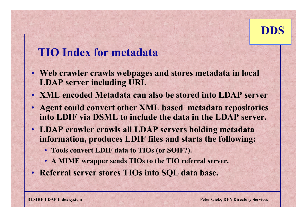

#### **TIO Index for metadata**

- **Web crawler crawls webpages and stores metadata in local LDAP server including URI.**
- **XML encoded Metadata can also be stored into LDAP server**
- **Agent could convert other XML based metadata repositories into LDIF via DSML to include the data in the LDAP server.**
- **LDAP crawler crawls all LDAP servers holding metadata information, produces LDIF files and starts the following:**
	- **Tools convert LDIF data to TIOs (or SOIF?).**
	- **A MIME wrapper sends TIOs to the TIO referral server.**
- **Referral server stores TIOs into SQL data base.**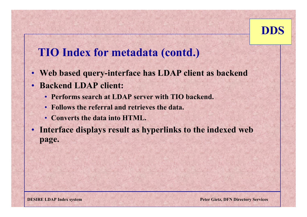

#### **TIO Index for metadata (contd.)**

- **Web based query-interface has LDAP client as backend**
- • **Backend LDAP client:** 
	- **Performs search at LDAP server with TIO backend.**
	- **Follows the referral and retrieves the data.**
	- **Converts the data into HTML.**

• **Interface displays result as hyperlinks to the indexed web page.**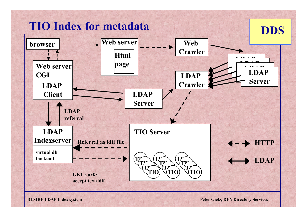# **TIO Index for metadata**

**DDS**